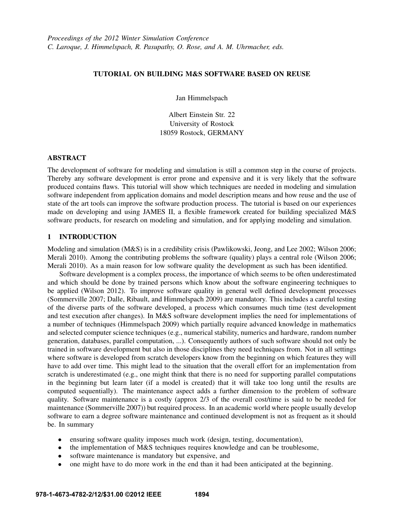# TUTORIAL ON BUILDING M&S SOFTWARE BASED ON REUSE

Jan Himmelspach

Albert Einstein Str. 22 University of Rostock 18059 Rostock, GERMANY

#### ABSTRACT

The development of software for modeling and simulation is still a common step in the course of projects. Thereby any software development is error prone and expensive and it is very likely that the software produced contains flaws. This tutorial will show which techniques are needed in modeling and simulation software independent from application domains and model description means and how reuse and the use of state of the art tools can improve the software production process. The tutorial is based on our experiences made on developing and using JAMES II, a flexible framework created for building specialized M&S software products, for research on modeling and simulation, and for applying modeling and simulation.

#### 1 INTRODUCTION

Modeling and simulation (M&S) is in a credibility crisis (Pawlikowski, Jeong, and Lee 2002; Wilson 2006; Merali 2010). Among the contributing problems the software (quality) plays a central role (Wilson 2006; Merali 2010). As a main reason for low software quality the development as such has been identified.

Software development is a complex process, the importance of which seems to be often underestimated and which should be done by trained persons which know about the software engineering techniques to be applied (Wilson 2012). To improve software quality in general well defined development processes (Sommerville 2007; Dalle, Ribault, and Himmelspach 2009) are mandatory. This includes a careful testing of the diverse parts of the software developed, a process which consumes much time (test development and test execution after changes). In M&S software development implies the need for implementations of a number of techniques (Himmelspach 2009) which partially require advanced knowledge in mathematics and selected computer science techniques (e.g., numerical stability, numerics and hardware, random number generation, databases, parallel computation, ...). Consequently authors of such software should not only be trained in software development but also in those disciplines they need techniques from. Not in all settings where software is developed from scratch developers know from the beginning on which features they will have to add over time. This might lead to the situation that the overall effort for an implementation from scratch is underestimated (e.g., one might think that there is no need for supporting parallel computations in the beginning but learn later (if a model is created) that it will take too long until the results are computed sequentially). The maintenance aspect adds a further dimension to the problem of software quality. Software maintenance is a costly (approx 2/3 of the overall cost/time is said to be needed for maintenance (Sommerville 2007)) but required process. In an academic world where people usually develop software to earn a degree software maintenance and continued development is not as frequent as it should be. In summary

- ensuring software quality imposes much work (design, testing, documentation),
- the implementation of M&S techniques requires knowledge and can be troublesome,
- software maintenance is mandatory but expensive, and
- one might have to do more work in the end than it had been anticipated at the beginning.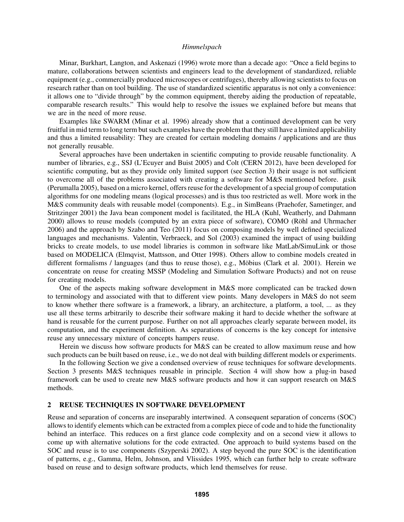Minar, Burkhart, Langton, and Askenazi (1996) wrote more than a decade ago: "Once a field begins to mature, collaborations between scientists and engineers lead to the development of standardized, reliable equipment (e.g., commercially produced microscopes or centrifuges), thereby allowing scientists to focus on research rather than on tool building. The use of standardized scientific apparatus is not only a convenience: it allows one to "divide through" by the common equipment, thereby aiding the production of repeatable, comparable research results." This would help to resolve the issues we explained before but means that we are in the need of more reuse.

Examples like SWARM (Minar et al. 1996) already show that a continued development can be very fruitful in mid term to long term but such examples have the problem that they still have a limited applicability and thus a limited reusability: They are created for certain modeling domains / applications and are thus not generally reusable.

Several approaches have been undertaken in scientific computing to provide reusable functionality. A number of libraries, e.g., SSJ (L'Ecuyer and Buist 2005) and Colt (CERN 2012), have been developed for scientific computing, but as they provide only limited support (see Section 3) their usage is not sufficient to overcome all of the problems associated with creating a software for M&S mentioned before.  $\mu$ sik (Perumalla 2005), based on a micro kernel, offers reuse for the development of a special group of computation algorithms for one modeling means (logical processes) and is thus too restricted as well. More work in the M&S community deals with reusable model (components). E.g., in SimBeans (Praehofer, Sametinger, and Stritzinger 2001) the Java bean component model is facilitated, the HLA (Kuhl, Weatherly, and Dahmann 2000) allows to reuse models (computed by an extra piece of software), COMO (Röhl and Uhrmacher 2006) and the approach by Szabo and Teo (2011) focus on composing models by well defined specialized languages and mechanisms. Valentin, Verbraeck, and Sol (2003) examined the impact of using building bricks to create models, to use model libraries is common in software like MatLab/SimuLink or those based on MODELICA (Elmqvist, Mattsson, and Otter 1998). Others allow to combine models created in different formalisms / languages (and thus to reuse those), e.g., Möbius (Clark et al. 2001). Herein we concentrate on reuse for creating MSSP (Modeling and Simulation Software Products) and not on reuse for creating models.

One of the aspects making software development in M&S more complicated can be tracked down to terminology and associated with that to different view points. Many developers in M&S do not seem to know whether there software is a framework, a library, an architecture, a platform, a tool, ... as they use all these terms arbitrarily to describe their software making it hard to decide whether the software at hand is reusable for the current purpose. Further on not all approaches clearly separate between model, its computation, and the experiment definition. As separations of concerns is the key concept for intensive reuse any unnecessary mixture of concepts hampers reuse.

Herein we discuss how software products for M&S can be created to allow maximum reuse and how such products can be built based on reuse, i.e., we do not deal with building different models or experiments.

In the following Section we give a condensed overview of reuse techniques for software developments. Section 3 presents M&S techniques reusable in principle. Section 4 will show how a plug-in based framework can be used to create new M&S software products and how it can support research on M&S methods.

#### 2 REUSE TECHNIQUES IN SOFTWARE DEVELOPMENT

Reuse and separation of concerns are inseparably intertwined. A consequent separation of concerns (SOC) allows to identify elements which can be extracted from a complex piece of code and to hide the functionality behind an interface. This reduces on a first glance code complexity and on a second view it allows to come up with alternative solutions for the code extracted. One approach to build systems based on the SOC and reuse is to use components (Szyperski 2002). A step beyond the pure SOC is the identification of patterns, e.g., Gamma, Helm, Johnson, and Vlissides 1995, which can further help to create software based on reuse and to design software products, which lend themselves for reuse.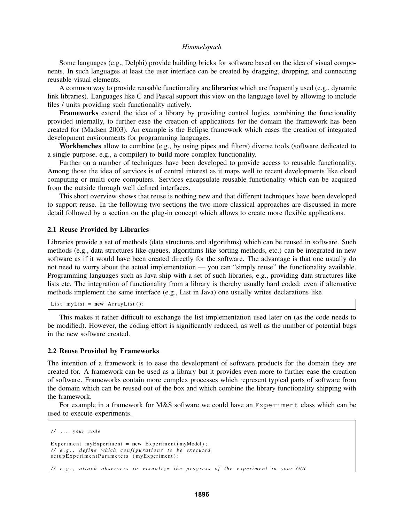Some languages (e.g., Delphi) provide building bricks for software based on the idea of visual components. In such languages at least the user interface can be created by dragging, dropping, and connecting reusable visual elements.

A common way to provide reusable functionality are **libraries** which are frequently used (e.g., dynamic link libraries). Languages like C and Pascal support this view on the language level by allowing to include files / units providing such functionality natively.

Frameworks extend the idea of a library by providing control logics, combining the functionality provided internally, to further ease the creation of applications for the domain the framework has been created for (Madsen 2003). An example is the Eclipse framework which eases the creation of integrated development environments for programming languages.

Workbenches allow to combine (e.g., by using pipes and filters) diverse tools (software dedicated to a single purpose, e.g., a compiler) to build more complex functionality.

Further on a number of techniques have been developed to provide access to reusable functionality. Among those the idea of services is of central interest as it maps well to recent developments like cloud computing or multi core computers. Services encapsulate reusable functionality which can be acquired from the outside through well defined interfaces.

This short overview shows that reuse is nothing new and that different techniques have been developed to support reuse. In the following two sections the two more classical approaches are discussed in more detail followed by a section on the plug-in concept which allows to create more flexible applications.

#### 2.1 Reuse Provided by Libraries

Libraries provide a set of methods (data structures and algorithms) which can be reused in software. Such methods (e.g., data structures like queues, algorithms like sorting methods, etc.) can be integrated in new software as if it would have been created directly for the software. The advantage is that one usually do not need to worry about the actual implementation — you can "simply reuse" the functionality available. Programming languages such as Java ship with a set of such libraries, e.g., providing data structures like lists etc. The integration of functionality from a library is thereby usually hard coded: even if alternative methods implement the same interface (e.g., List in Java) one usually writes declarations like

List myList =  $new$  ArrayList();

This makes it rather difficult to exchange the list implementation used later on (as the code needs to be modified). However, the coding effort is significantly reduced, as well as the number of potential bugs in the new software created.

#### 2.2 Reuse Provided by Frameworks

The intention of a framework is to ease the development of software products for the domain they are created for. A framework can be used as a library but it provides even more to further ease the creation of software. Frameworks contain more complex processes which represent typical parts of software from the domain which can be reused out of the box and which combine the library functionality shipping with the framework.

For example in a framework for M&S software we could have an Experiment class which can be used to execute experiments.

```
/ / . . . y o u r c o de
Experiment myExperiment = new Experiment (myModel);
// e.g., define which configurations to be executed
setup Experiment Parameters (my Experiment);
// e.g., attach observers to visualize the progress of the experiment in your GUI
```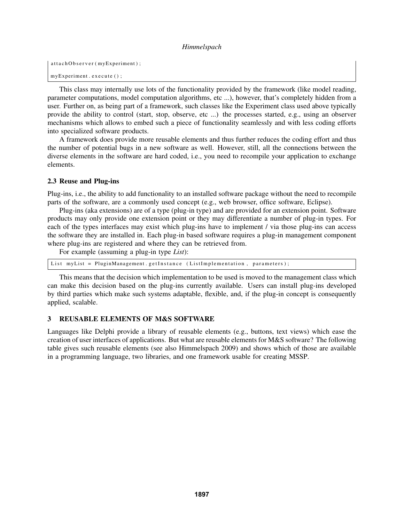```
attachObserver (myExperiment);
myExperiment. execute ();
```
This class may internally use lots of the functionality provided by the framework (like model reading, parameter computations, model computation algorithms, etc ...), however, that's completely hidden from a user. Further on, as being part of a framework, such classes like the Experiment class used above typically provide the ability to control (start, stop, observe, etc ...) the processes started, e.g., using an observer mechanisms which allows to embed such a piece of functionality seamlessly and with less coding efforts into specialized software products.

A framework does provide more reusable elements and thus further reduces the coding effort and thus the number of potential bugs in a new software as well. However, still, all the connections between the diverse elements in the software are hard coded, i.e., you need to recompile your application to exchange elements.

### 2.3 Reuse and Plug-ins

Plug-ins, i.e., the ability to add functionality to an installed software package without the need to recompile parts of the software, are a commonly used concept (e.g., web browser, office software, Eclipse).

Plug-ins (aka extensions) are of a type (plug-in type) and are provided for an extension point. Software products may only provide one extension point or they may differentiate a number of plug-in types. For each of the types interfaces may exist which plug-ins have to implement / via those plug-ins can access the software they are installed in. Each plug-in based software requires a plug-in management component where plug-ins are registered and where they can be retrieved from.

For example (assuming a plug-in type *List*):

List myList = PluginManagement.getInstance (ListImplementation, parameters);

This means that the decision which implementation to be used is moved to the management class which can make this decision based on the plug-ins currently available. Users can install plug-ins developed by third parties which make such systems adaptable, flexible, and, if the plug-in concept is consequently applied, scalable.

## 3 REUSABLE ELEMENTS OF M&S SOFTWARE

Languages like Delphi provide a library of reusable elements (e.g., buttons, text views) which ease the creation of user interfaces of applications. But what are reusable elements for M&S software? The following table gives such reusable elements (see also Himmelspach 2009) and shows which of those are available in a programming language, two libraries, and one framework usable for creating MSSP.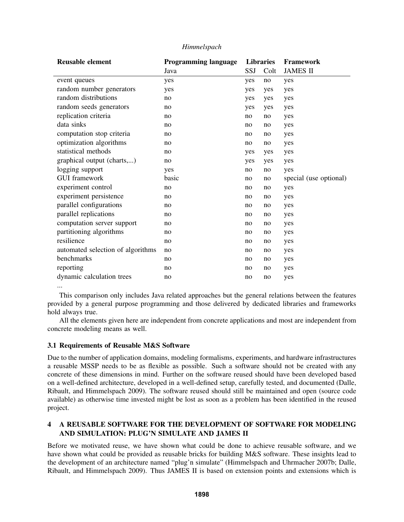| <b>Reusable element</b>           | <b>Programming language</b> | <b>Libraries</b> |      | <b>Framework</b>       |
|-----------------------------------|-----------------------------|------------------|------|------------------------|
|                                   | Java                        | SSJ              | Colt | <b>JAMES II</b>        |
| event queues                      | yes                         | yes              | no   | yes                    |
| random number generators          | yes                         | yes              | yes  | yes                    |
| random distributions              | no                          | yes              | yes  | yes                    |
| random seeds generators           | no                          | yes              | yes  | yes                    |
| replication criteria              | no                          | no               | no   | yes                    |
| data sinks                        | no                          | no               | no   | yes                    |
| computation stop criteria         | no                          | no               | no   | yes                    |
| optimization algorithms           | no                          | no               | no   | yes                    |
| statistical methods               | no                          | yes              | yes  | yes                    |
| graphical output (charts,)        | no                          | yes              | yes  | yes                    |
| logging support                   | yes                         | no               | no   | yes                    |
| <b>GUI</b> framework              | basic                       | no               | no   | special (use optional) |
| experiment control                | no                          | no               | no   | yes                    |
| experiment persistence            | no                          | no               | no   | yes                    |
| parallel configurations           | no                          | no               | no   | yes                    |
| parallel replications             | no                          | no               | no   | yes                    |
| computation server support        | no                          | no               | no   | yes                    |
| partitioning algorithms           | no                          | no               | no   | yes                    |
| resilience                        | no                          | no               | no   | yes                    |
| automated selection of algorithms | no                          | no               | no   | yes                    |
| benchmarks                        | no                          | no               | no   | yes                    |
| reporting                         | no                          | no               | no   | yes                    |
| dynamic calculation trees         | no                          | no               | no   | yes                    |
|                                   |                             |                  |      |                        |

This comparison only includes Java related approaches but the general relations between the features provided by a general purpose programming and those delivered by dedicated libraries and frameworks hold always true.

All the elements given here are independent from concrete applications and most are independent from concrete modeling means as well.

# 3.1 Requirements of Reusable M&S Software

Due to the number of application domains, modeling formalisms, experiments, and hardware infrastructures a reusable MSSP needs to be as flexible as possible. Such a software should not be created with any concrete of these dimensions in mind. Further on the software reused should have been developed based on a well-defined architecture, developed in a well-defined setup, carefully tested, and documented (Dalle, Ribault, and Himmelspach 2009). The software reused should still be maintained and open (source code available) as otherwise time invested might be lost as soon as a problem has been identified in the reused project.

# 4 A REUSABLE SOFTWARE FOR THE DEVELOPMENT OF SOFTWARE FOR MODELING AND SIMULATION: PLUG'N SIMULATE AND JAMES II

Before we motivated reuse, we have shown what could be done to achieve reusable software, and we have shown what could be provided as reusable bricks for building M&S software. These insights lead to the development of an architecture named "plug'n simulate" (Himmelspach and Uhrmacher 2007b; Dalle, Ribault, and Himmelspach 2009). Thus JAMES II is based on extension points and extensions which is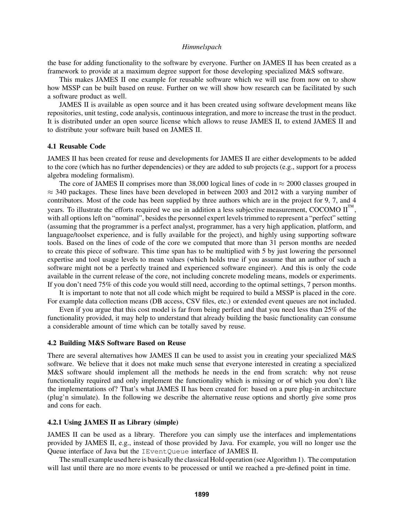the base for adding functionality to the software by everyone. Further on JAMES II has been created as a framework to provide at a maximum degree support for those developing specialized M&S software.

This makes JAMES II one example for reusable software which we will use from now on to show how MSSP can be built based on reuse. Further on we will show how research can be facilitated by such a software product as well.

JAMES II is available as open source and it has been created using software development means like repositories, unit testing, code analysis, continuous integration, and more to increase the trust in the product. It is distributed under an open source license which allows to reuse JAMES II, to extend JAMES II and to distribute your software built based on JAMES II.

#### 4.1 Reusable Code

JAMES II has been created for reuse and developments for JAMES II are either developments to be added to the core (which has no further dependencies) or they are added to sub projects (e.g., support for a process algebra modeling formalism).

The core of JAMES II comprises more than 38,000 logical lines of code in  $\approx$  2000 classes grouped in  $\approx$  340 packages. These lines have been developed in between 2003 and 2012 with a varying number of contributors. Most of the code has been supplied by three authors which are in the project for 9, 7, and 4 years. To illustrate the efforts required we use in addition a less subjective measurement, COCOMO  $II^{\mathbb{M}}$ , with all options left on "nominal", besides the personnel expert levels trimmed to represent a "perfect" setting (assuming that the programmer is a perfect analyst, programmer, has a very high application, platform, and language/toolset experience, and is fully available for the project), and highly using supporting software tools. Based on the lines of code of the core we computed that more than 31 person months are needed to create this piece of software. This time span has to be multiplied with 5 by just lowering the personnel expertise and tool usage levels to mean values (which holds true if you assume that an author of such a software might not be a perfectly trained and experienced software engineer). And this is only the code available in the current release of the core, not including concrete modeling means, models or experiments. If you don't need 75% of this code you would still need, according to the optimal settings, 7 person months.

It is important to note that not all code which might be required to build a MSSP is placed in the core. For example data collection means (DB access, CSV files, etc.) or extended event queues are not included.

Even if you argue that this cost model is far from being perfect and that you need less than 25% of the functionality provided, it may help to understand that already building the basic functionality can consume a considerable amount of time which can be totally saved by reuse.

#### 4.2 Building M&S Software Based on Reuse

There are several alternatives how JAMES II can be used to assist you in creating your specialized M&S software. We believe that it does not make much sense that everyone interested in creating a specialized M&S software should implement all the methods he needs in the end from scratch: why not reuse functionality required and only implement the functionality which is missing or of which you don't like the implementations of? That's what JAMES II has been created for: based on a pure plug-in architecture (plug'n simulate). In the following we describe the alternative reuse options and shortly give some pros and cons for each.

#### 4.2.1 Using JAMES II as Library (simple)

JAMES II can be used as a library. Therefore you can simply use the interfaces and implementations provided by JAMES II, e.g., instead of those provided by Java. For example, you will no longer use the Queue interface of Java but the IEventQueue interface of JAMES II.

The small example used here is basically the classical Hold operation (see Algorithm 1). The computation will last until there are no more events to be processed or until we reached a pre-defined point in time.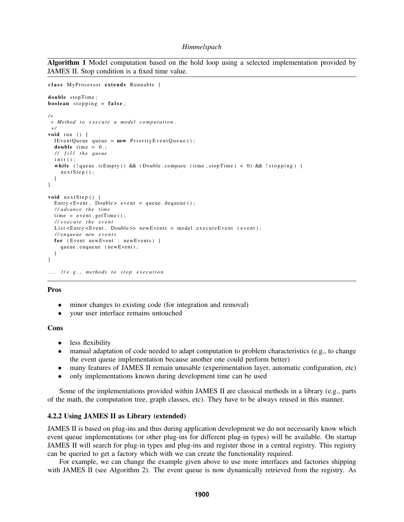Algorithm 1 Model computation based on the hold loop using a selected implementation provided by JAMES II. Stop condition is a fixed time value.

```
class MyProcessor extends Runnable {
double stopTime;
boolean stopping = false;
/∗
 ∗ Method t o e x e c u t e a model c o m p ut ati o n .
 ∗/
void run () {
  IEventQueue queue = new PriorityEventQueue ();
  double time = 0.;
  / / f i l l t h e q ue ue
  init();
  while (! queue . is Empty () && (Double . compare (time, stopTime) < 0) && ! stopping) {
    nextStep();
  }
}
void nextStep() {
  Entry <Event, Double> event = queue.dequeue();
  / / a dv a nce t h e ti m e
  time = event.getTime();
  / / e x e c u t e t h e e v e n t
  List <Entry <Event, Double >> newEvents = model.executeEvent (event);
  / / e n q ue ue new e v e n t s
  for (Event newEvent : newEvents) {
    queue . enqueue (newEvent);
  }
}
... //e.g., methods to stop execution
```
#### Pros

- minor changes to existing code (for integration and removal)
- your user interface remains untouched

#### Cons

- less flexibility
- manual adaptation of code needed to adapt computation to problem characteristics (e.g., to change the event queue implementation because another one could perform better)
- many features of JAMES II remain unusable (experimentation layer, automatic configuration, etc)
- only implementations known during development time can be used

Some of the implementations provided within JAMES II are classical methods in a library (e.g., parts of the math, the computation tree, graph classes, etc). They have to be always reused in this manner.

#### 4.2.2 Using JAMES II as Library (extended)

JAMES II is based on plug-ins and thus during application development we do not necessarily know which event queue implementations (or other plug-ins for different plug-in types) will be available. On startup JAMES II will search for plug-in types and plug-ins and register those in a central registry. This registry can be queried to get a factory which with we can create the functionality required.

For example, we can change the example given above to use more interfaces and factories shipping with JAMES II (see Algorithm 2). The event queue is now dynamically retrieved from the registry. As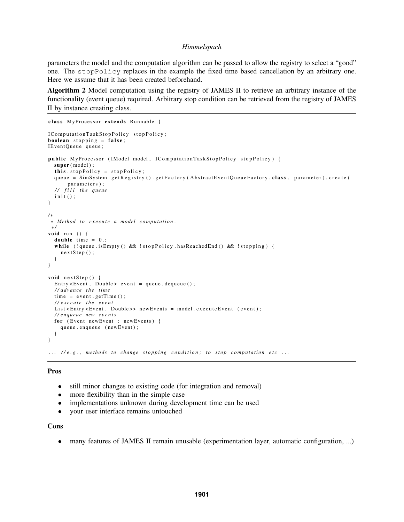parameters the model and the computation algorithm can be passed to allow the registry to select a "good" one. The stopPolicy replaces in the example the fixed time based cancellation by an arbitrary one. Here we assume that it has been created beforehand.

Algorithm 2 Model computation using the registry of JAMES II to retrieve an arbitrary instance of the functionality (event queue) required. Arbitrary stop condition can be retrieved from the registry of JAMES II by instance creating class.

```
class MyProcessor extends Runnable {
IC omputation Task Stop Policy stop Policy;
boolean stopping = false;
IEventQueue queue;
public MyProcessor (IModel model, IComputationTaskStopPolicy stopPolicy) {
  super (model);
  this stopPolicy = stopPolicy;queue = SimSystem.getRegistry ().getFactory (AbstractEventQueueFactory.class, parameter).create (
       parameters);
  / / f i l l t h e q ue ue
  init();
}
/∗
∗ Method t o e x e c u t e a model c o m p ut ati o n .
 ∗/
void run () {
  double time = 0.;
  while (!queue.isEmpty () && !stopPolicy.hasReachedEnd () && !stopping) {
    nextStep();
  }
}
void nextStep() {
  Entry < Event, Double> event = queue. dequeue ();
  / / a dv a nce t h e ti m e
  time = event.getTime();
  / / e x e c u t e t h e e v e n t
  List <Entry <Event, Double >> newEvents = model.executeEvent (event);
  / / e n q ue ue new e v e n t s
  for (Event newEvent : newEvents) {
    queue . enqueue (newEvent);
  }
}
... // e.g., methods to change stopping condition; to stop computation etc ...
```
### Pros

- still minor changes to existing code (for integration and removal)
- more flexibility than in the simple case
- implementations unknown during development time can be used
- your user interface remains untouched

#### Cons

• many features of JAMES II remain unusable (experimentation layer, automatic configuration, ...)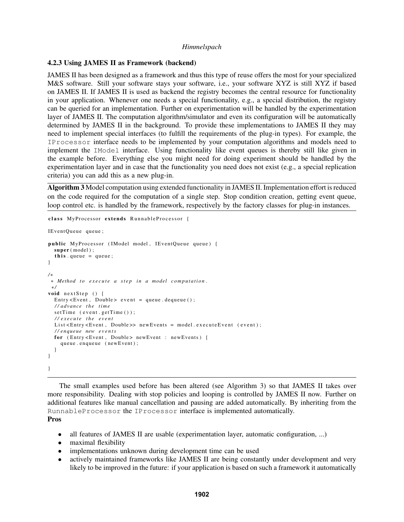#### 4.2.3 Using JAMES II as Framework (backend)

JAMES II has been designed as a framework and thus this type of reuse offers the most for your specialized M&S software. Still your software stays your software, i.e., your software XYZ is still XYZ if based on JAMES II. If JAMES II is used as backend the registry becomes the central resource for functionality in your application. Whenever one needs a special functionality, e.g., a special distribution, the registry can be queried for an implementation. Further on experimentation will be handled by the experimentation layer of JAMES II. The computation algorithm/simulator and even its configuration will be automatically determined by JAMES II in the background. To provide these implementations to JAMES II they may need to implement special interfaces (to fulfill the requirements of the plug-in types). For example, the IProcessor interface needs to be implemented by your computation algorithms and models need to implement the IModel interface. Using functionality like event queues is thereby still like given in the example before. Everything else you might need for doing experiment should be handled by the experimentation layer and in case that the functionality you need does not exist (e.g., a special replication criteria) you can add this as a new plug-in.

Algorithm 3 Model computation using extended functionality in JAMES II. Implementation effort is reduced on the code required for the computation of a single step. Stop condition creation, getting event queue, loop control etc. is handled by the framework, respectively by the factory classes for plug-in instances.

```
class MyProcessor extends RunnableProcessor {
IEventQueue queue;
public MyProcessor (IModel model, IEventQueue queue) {
  super (model);
  this . queue = queue;
}
/∗
 ∗ Method t o e x e c u t e a s t e p i n a model c o m p ut ati o n .
 ∗/
void nextStep () {
  Entry \lt Event, Double > event = queue. dequeue ();
  / / a dv a nce t h e ti m e
  set Time ( event . get Time ( ) );
  / / e x e c u t e t h e e v e n t
  List <Entry <Event, Double >> newEvents = model.executeEvent (event);
  / / e n q ue ue new e v e n t s
  for (Entry<Event, Double> newEvent : newEvents) {
    queue . enqueue (newEvent);
  }
}
}
```
The small examples used before has been altered (see Algorithm 3) so that JAMES II takes over more responsibility. Dealing with stop policies and looping is controlled by JAMES II now. Further on additional features like manual cancellation and pausing are added automatically. By inheriting from the RunnableProcessor the IProcessor interface is implemented automatically. Pros

- all features of JAMES II are usable (experimentation layer, automatic configuration, ...)
- maximal flexibility
- implementations unknown during development time can be used
- actively maintained frameworks like JAMES II are being constantly under development and very likely to be improved in the future: if your application is based on such a framework it automatically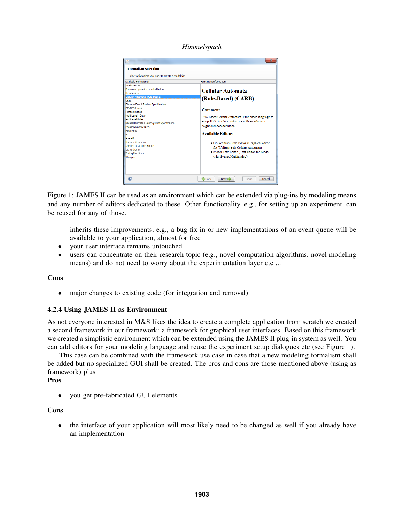*Himmelspach*



Figure 1: JAMES II can be used as an environment which can be extended via plug-ins by modeling means and any number of editors dedicated to these. Other functionality, e.g., for setting up an experiment, can be reused for any of those.

inherits these improvements, e.g., a bug fix in or new implementations of an event queue will be available to your application, almost for free

- your user interface remains untouched
- users can concentrate on their research topic (e.g., novel computation algorithms, novel modeling means) and do not need to worry about the experimentation layer etc ...

### Cons

• major changes to existing code (for integration and removal)

# 4.2.4 Using JAMES II as Environment

As not everyone interested in M&S likes the idea to create a complete application from scratch we created a second framework in our framework: a framework for graphical user interfaces. Based on this framework we created a simplistic environment which can be extended using the JAMES II plug-in system as well. You can add editors for your modeling language and reuse the experiment setup dialogues etc (see Figure 1).

This case can be combined with the framework use case in case that a new modeling formalism shall be added but no specialized GUI shall be created. The pros and cons are those mentioned above (using as framework) plus

# Pros

• you get pre-fabricated GUI elements

### Cons

• the interface of your application will most likely need to be changed as well if you already have an implementation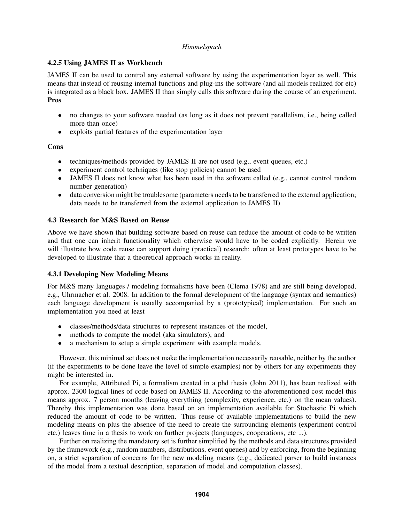# 4.2.5 Using JAMES II as Workbench

JAMES II can be used to control any external software by using the experimentation layer as well. This means that instead of reusing internal functions and plug-ins the software (and all models realized for etc) is integrated as a black box. JAMES II than simply calls this software during the course of an experiment. Pros

- no changes to your software needed (as long as it does not prevent parallelism, i.e., being called more than once)
- exploits partial features of the experimentation layer

# **Cons**

- techniques/methods provided by JAMES II are not used (e.g., event queues, etc.)
- experiment control techniques (like stop policies) cannot be used
- JAMES II does not know what has been used in the software called (e.g., cannot control random number generation)
- data conversion might be troublesome (parameters needs to be transferred to the external application; data needs to be transferred from the external application to JAMES II)

# 4.3 Research for M&S Based on Reuse

Above we have shown that building software based on reuse can reduce the amount of code to be written and that one can inherit functionality which otherwise would have to be coded explicitly. Herein we will illustrate how code reuse can support doing (practical) research: often at least prototypes have to be developed to illustrate that a theoretical approach works in reality.

# 4.3.1 Developing New Modeling Means

For M&S many languages / modeling formalisms have been (Clema 1978) and are still being developed, e.g., Uhrmacher et al. 2008. In addition to the formal development of the language (syntax and semantics) each language development is usually accompanied by a (prototypical) implementation. For such an implementation you need at least

- classes/methods/data structures to represent instances of the model,
- methods to compute the model (aka simulators), and
- a mechanism to setup a simple experiment with example models.

However, this minimal set does not make the implementation necessarily reusable, neither by the author (if the experiments to be done leave the level of simple examples) nor by others for any experiments they might be interested in.

For example, Attributed Pi, a formalism created in a phd thesis (John 2011), has been realized with approx. 2300 logical lines of code based on JAMES II. According to the aforementioned cost model this means approx. 7 person months (leaving everything (complexity, experience, etc.) on the mean values). Thereby this implementation was done based on an implementation available for Stochastic Pi which reduced the amount of code to be written. Thus reuse of available implementations to build the new modeling means on plus the absence of the need to create the surrounding elements (experiment control etc.) leaves time in a thesis to work on further projects (languages, cooperations, etc ...).

Further on realizing the mandatory set is further simplified by the methods and data structures provided by the framework (e.g., random numbers, distributions, event queues) and by enforcing, from the beginning on, a strict separation of concerns for the new modeling means (e.g., dedicated parser to build instances of the model from a textual description, separation of model and computation classes).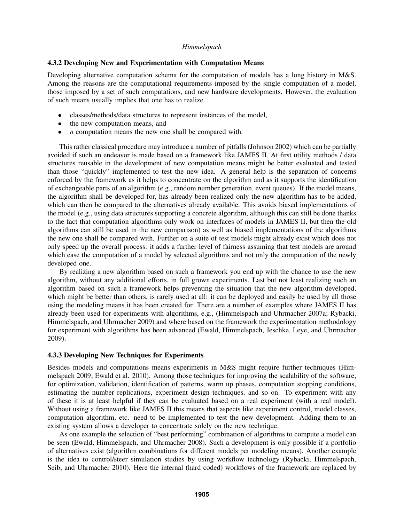#### 4.3.2 Developing New and Experimentation with Computation Means

Developing alternative computation schema for the computation of models has a long history in M&S. Among the reasons are the computational requirements imposed by the single computation of a model, those imposed by a set of such computations, and new hardware developments. However, the evaluation of such means usually implies that one has to realize

- classes/methods/data structures to represent instances of the model,
- the new computation means, and
- *n* computation means the new one shall be compared with.

This rather classical procedure may introduce a number of pitfalls (Johnson 2002) which can be partially avoided if such an endeavor is made based on a framework like JAMES II. At first utility methods / data structures reusable in the development of new computation means might be better evaluated and tested than those "quickly" implemented to test the new idea. A general help is the separation of concerns enforced by the framework as it helps to concentrate on the algorithm and as it supports the identification of exchangeable parts of an algorithm (e.g., random number generation, event queues). If the model means, the algorithm shall be developed for, has already been realized only the new algorithm has to be added, which can then be compared to the alternatives already available. This avoids biased implementations of the model (e.g., using data structures supporting a concrete algorithm, although this can still be done thanks to the fact that computation algorithms only work on interfaces of models in JAMES II, but then the old algorithms can still be used in the new comparison) as well as biased implementations of the algorithms the new one shall be compared with. Further on a suite of test models might already exist which does not only speed up the overall process: it adds a further level of fairness assuming that test models are around which ease the computation of a model by selected algorithms and not only the computation of the newly developed one.

By realizing a new algorithm based on such a framework you end up with the chance to use the new algorithm, without any additional efforts, in full grown experiments. Last but not least realizing such an algorithm based on such a framework helps preventing the situation that the new algorithm developed, which might be better than others, is rarely used at all: it can be deployed and easily be used by all those using the modeling means it has been created for. There are a number of examples where JAMES II has already been used for experiments with algorithms, e.g., (Himmelspach and Uhrmacher 2007a; Rybacki, Himmelspach, and Uhrmacher 2009) and where based on the framework the experimentation methodology for experiment with algorithms has been advanced (Ewald, Himmelspach, Jeschke, Leye, and Uhrmacher 2009).

#### 4.3.3 Developing New Techniques for Experiments

Besides models and computations means experiments in M&S might require further techniques (Himmelspach 2009; Ewald et al. 2010). Among those techniques for improving the scalability of the software, for optimization, validation, identification of patterns, warm up phases, computation stopping conditions, estimating the number replications, experiment design techniques, and so on. To experiment with any of these it is at least helpful if they can be evaluated based on a real experiment (with a real model). Without using a framework like JAMES II this means that aspects like experiment control, model classes, computation algorithm, etc. need to be implemented to test the new development. Adding them to an existing system allows a developer to concentrate solely on the new technique.

As one example the selection of "best performing" combination of algorithms to compute a model can be seen (Ewald, Himmelspach, and Uhrmacher 2008). Such a development is only possible if a portfolio of alternatives exist (algorithm combinations for different models per modeling means). Another example is the idea to control/steer simulation studies by using workflow technology (Rybacki, Himmelspach, Seib, and Uhrmacher 2010). Here the internal (hard coded) workflows of the framework are replaced by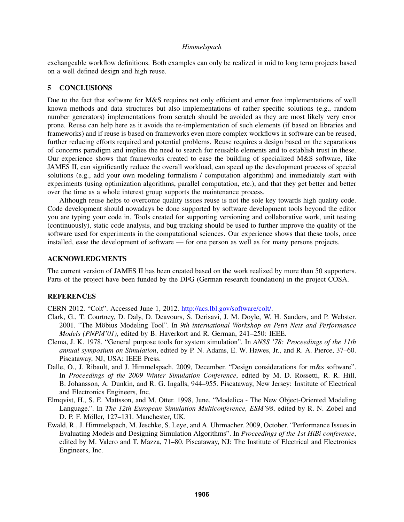exchangeable workflow definitions. Both examples can only be realized in mid to long term projects based on a well defined design and high reuse.

### 5 CONCLUSIONS

Due to the fact that software for M&S requires not only efficient and error free implementations of well known methods and data structures but also implementations of rather specific solutions (e.g., random number generators) implementations from scratch should be avoided as they are most likely very error prone. Reuse can help here as it avoids the re-implementation of such elements (if based on libraries and frameworks) and if reuse is based on frameworks even more complex workflows in software can be reused, further reducing efforts required and potential problems. Reuse requires a design based on the separations of concerns paradigm and implies the need to search for reusable elements and to establish trust in these. Our experience shows that frameworks created to ease the building of specialized M&S software, like JAMES II, can significantly reduce the overall workload, can speed up the development process of special solutions (e.g., add your own modeling formalism / computation algorithm) and immediately start with experiments (using optimization algorithms, parallel computation, etc.), and that they get better and better over the time as a whole interest group supports the maintenance process.

Although reuse helps to overcome quality issues reuse is not the sole key towards high quality code. Code development should nowadays be done supported by software development tools beyond the editor you are typing your code in. Tools created for supporting versioning and collaborative work, unit testing (continuously), static code analysis, and bug tracking should be used to further improve the quality of the software used for experiments in the computational sciences. Our experience shows that these tools, once installed, ease the development of software — for one person as well as for many persons projects.

### ACKNOWLEDGMENTS

The current version of JAMES II has been created based on the work realized by more than 50 supporters. Parts of the project have been funded by the DFG (German research foundation) in the project COSA.

#### **REFERENCES**

CERN 2012. "Colt". Accessed June 1, 2012. http://acs.lbl.gov/software/colt/.

- Clark, G., T. Courtney, D. Daly, D. Deavours, S. Derisavi, J. M. Doyle, W. H. Sanders, and P. Webster. 2001. "The Möbius Modeling Tool". In *9th international Workshop on Petri Nets and Performance Models (PNPM'01)*, edited by B. Haverkort and R. German, 241–250: IEEE.
- Clema, J. K. 1978. "General purpose tools for system simulation". In *ANSS '78: Proceedings of the 11th annual symposium on Simulation*, edited by P. N. Adams, E. W. Hawes, Jr., and R. A. Pierce, 37–60. Piscataway, NJ, USA: IEEE Press.
- Dalle, O., J. Ribault, and J. Himmelspach. 2009, December. "Design considerations for m&s software". In *Proceedings of the 2009 Winter Simulation Conference*, edited by M. D. Rossetti, R. R. Hill, B. Johansson, A. Dunkin, and R. G. Ingalls, 944–955. Piscataway, New Jersey: Institute of Electrical and Electronics Engineers, Inc.
- Elmqvist, H., S. E. Mattsson, and M. Otter. 1998, June. "Modelica The New Object-Oriented Modeling Language.". In *The 12th European Simulation Multiconference, ESM'98*, edited by R. N. Zobel and D. P. F. Möller, 127–131. Manchester, UK.
- Ewald, R., J. Himmelspach, M. Jeschke, S. Leye, and A. Uhrmacher. 2009, October. "Performance Issues in Evaluating Models and Designing Simulation Algorithms". In *Proceedings of the 1st HiBi conference*, edited by M. Valero and T. Mazza, 71–80. Piscataway, NJ: The Institute of Electrical and Electronics Engineers, Inc.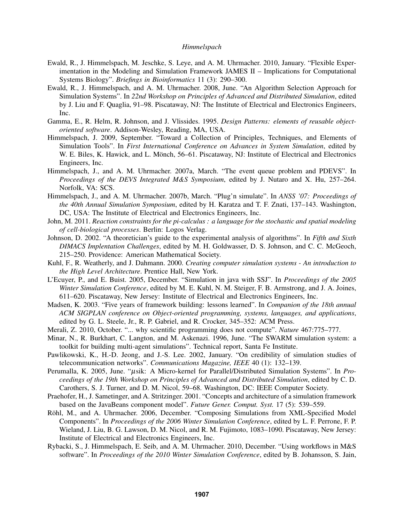- Ewald, R., J. Himmelspach, M. Jeschke, S. Leye, and A. M. Uhrmacher. 2010, January. "Flexible Experimentation in the Modeling and Simulation Framework JAMES II – Implications for Computational Systems Biology". *Briefings in Bioinformatics* 11 (3): 290–300.
- Ewald, R., J. Himmelspach, and A. M. Uhrmacher. 2008, June. "An Algorithm Selection Approach for Simulation Systems". In *22nd Workshop on Principles of Advanced and Distributed Simulation*, edited by J. Liu and F. Quaglia, 91–98. Piscataway, NJ: The Institute of Electrical and Electronics Engineers, Inc.
- Gamma, E., R. Helm, R. Johnson, and J. Vlissides. 1995. *Design Patterns: elements of reusable objectoriented software*. Addison-Wesley, Reading, MA, USA.
- Himmelspach, J. 2009, September. "Toward a Collection of Principles, Techniques, and Elements of Simulation Tools". In *First International Conference on Advances in System Simulation*, edited by W. E. Biles, K. Hawick, and L. Mönch, 56–61. Piscataway, NJ: Institute of Electrical and Electronics Engineers, Inc.
- Himmelspach, J., and A. M. Uhrmacher. 2007a, March. "The event queue problem and PDEVS". In *Proceedings of the DEVS Integrated M&S Symposium*, edited by J. Nutaro and X. Hu, 257–264. Norfolk, VA: SCS.
- Himmelspach, J., and A. M. Uhrmacher. 2007b, March. "Plug'n simulate". In *ANSS '07: Proceedings of the 40th Annual Simulation Symposium*, edited by H. Karatza and T. F. Znati, 137–143. Washington, DC, USA: The Institute of Electrical and Electronics Engineers, Inc.
- John, M. 2011. *Reaction constraints for the pi-calculus : a language for the stochastic and spatial modeling of cell-biological processes*. Berlin: Logos Verlag.
- Johnson, D. 2002. "A theoretician's guide to the experimental analysis of algorithms". In *Fifth and Sixth DIMACS Implentation Challenges*, edited by M. H. Goldwasser, D. S. Johnson, and C. C. McGeoch, 215–250. Providence: American Mathematical Society.
- Kuhl, F., R. Weatherly, and J. Dahmann. 2000. *Creating computer simulation systems An introduction to the High Level Architecture*. Prentice Hall, New York.
- L'Ecuyer, P., and E. Buist. 2005, December. "Simulation in java with SSJ". In *Proceedings of the 2005 Winter Simulation Conference*, edited by M. E. Kuhl, N. M. Steiger, F. B. Armstrong, and J. A. Joines, 611–620. Piscataway, New Jersey: Institute of Electrical and Electronics Engineers, Inc.
- Madsen, K. 2003. "Five years of framework building: lessons learned". In *Companion of the 18th annual ACM SIGPLAN conference on Object-oriented programming, systems, languages, and applications*, edited by G. L. Steele, Jr., R. P. Gabriel, and R. Crocker, 345–352: ACM Press.
- Merali, Z. 2010, October. "... why scientific programming does not compute". *Nature* 467:775–777.
- Minar, N., R. Burkhart, C. Langton, and M. Askenazi. 1996, June. "The SWARM simulation system: a toolkit for building multi-agent simulations". Technical report, Santa Fe Institute.
- Pawlikowski, K., H.-D. Jeong, and J.-S. Lee. 2002, January. "On credibility of simulation studies of telecommunication networks". *Communications Magazine, IEEE* 40 (1): 132–139.
- Perumalla, K. 2005, June. "µsik: A Micro-kernel for Parallel/Distributed Simulation Systems". In *Proceedings of the 19th Workshop on Principles of Advanced and Distributed Simulation*, edited by C. D. Carothers, S. J. Turner, and D. M. Nicol, 59–68. Washington, DC: IEEE Computer Society.
- Praehofer, H., J. Sametinger, and A. Stritzinger. 2001. "Concepts and architecture of a simulation framework based on the JavaBeans component model". *Future Gener. Comput. Syst.* 17 (5): 539–559.
- Röhl, M., and A. Uhrmacher. 2006, December. "Composing Simulations from XML-Specified Model Components". In *Proceedings of the 2006 Winter Simulation Conference*, edited by L. F. Perrone, F. P. Wieland, J. Liu, B. G. Lawson, D. M. Nicol, and R. M. Fujimoto, 1083–1090. Piscataway, New Jersey: Institute of Electrical and Electronics Engineers, Inc.
- Rybacki, S., J. Himmelspach, E. Seib, and A. M. Uhrmacher. 2010, December. "Using workflows in M&S software". In *Proceedings of the 2010 Winter Simulation Conference*, edited by B. Johansson, S. Jain,